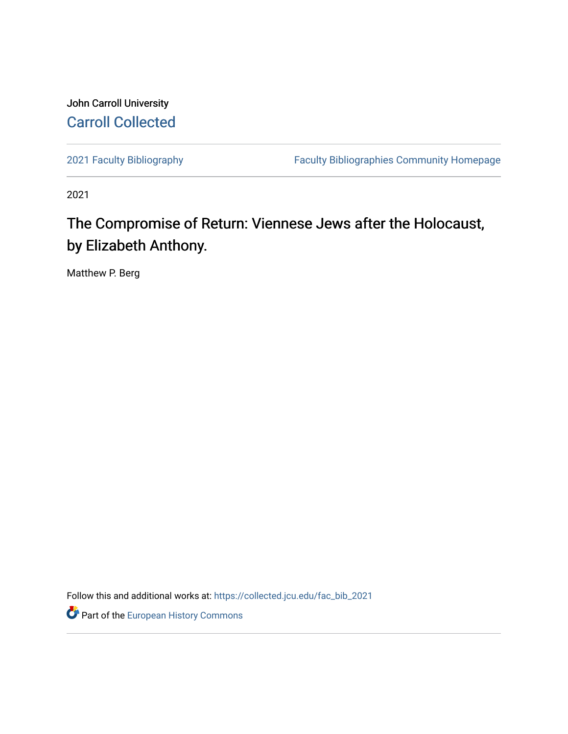## John Carroll University [Carroll Collected](https://collected.jcu.edu/)

[2021 Faculty Bibliography](https://collected.jcu.edu/fac_bib_2021) [Faculty Bibliographies Community Homepage](https://collected.jcu.edu/fac_bib_home) 

2021

## The Compromise of Return: Viennese Jews after the Holocaust, by Elizabeth Anthony.

Matthew P. Berg

Follow this and additional works at: [https://collected.jcu.edu/fac\\_bib\\_2021](https://collected.jcu.edu/fac_bib_2021?utm_source=collected.jcu.edu%2Ffac_bib_2021%2F32&utm_medium=PDF&utm_campaign=PDFCoverPages) 

*O* Part of the [European History Commons](https://network.bepress.com/hgg/discipline/492?utm_source=collected.jcu.edu%2Ffac_bib_2021%2F32&utm_medium=PDF&utm_campaign=PDFCoverPages)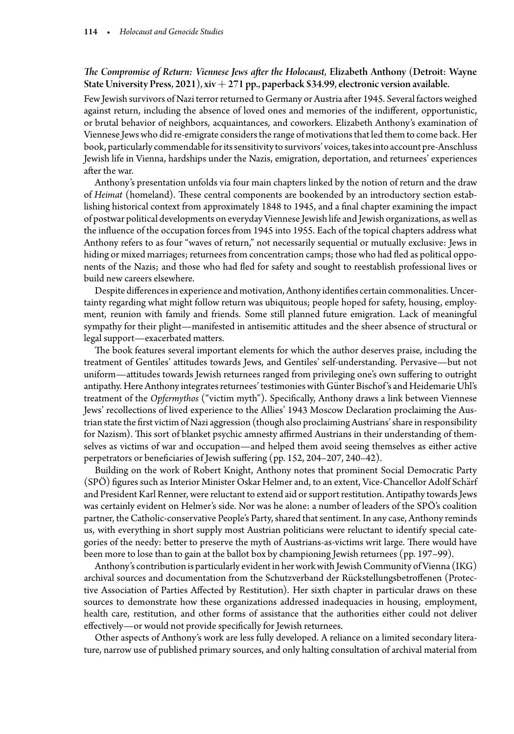## *The Compromise of Return: Viennese Jews after the Holocaust*, Elizabeth Anthony (Detroit: Wayne State University Press, 2021), xiv + 271 pp., paperback \$34.99, electronic version available.

Few Jewish survivors of Nazi terror returned to Germany or Austria after 1945. Several factors weighed against return, including the absence of loved ones and memories of the indifferent, opportunistic, or brutal behavior of neighbors, acquaintances, and coworkers. Elizabeth Anthony's examination of Viennese Jews who did re-emigrate considers the range of motivations that led them to come back. Her book, particularly commendable for its sensitivity to survivors' voices, takes into account pre-Anschluss Jewish life in Vienna, hardships under the Nazis, emigration, deportation, and returnees' experiences after the war.

Anthony's presentation unfolds via four main chapters linked by the notion of return and the draw of *Heimat* (homeland). These central components are bookended by an introductory section establishing historical context from approximately 1848 to 1945, and a final chapter examining the impact of postwar political developments on everyday Viennese Jewish life and Jewish organizations, as well as the influence of the occupation forces from 1945 into 1955. Each of the topical chapters address what Anthony refers to as four "waves of return," not necessarily sequential or mutually exclusive: Jews in hiding or mixed marriages; returnees from concentration camps; those who had fled as political opponents of the Nazis; and those who had fled for safety and sought to reestablish professional lives or build new careers elsewhere.

Despite differences in experience and motivation, Anthony identifies certain commonalities. Uncertainty regarding what might follow return was ubiquitous; people hoped for safety, housing, employment, reunion with family and friends. Some still planned future emigration. Lack of meaningful sympathy for their plight—manifested in antisemitic attitudes and the sheer absence of structural or legal support—exacerbated matters.

The book features several important elements for which the author deserves praise, including the treatment of Gentiles' attitudes towards Jews, and Gentiles' self-understanding. Pervasive—but not uniform—attitudes towards Jewish returnees ranged from privileging one's own suffering to outright antipathy. Here Anthony integrates returnees' testimonies with Günter Bischof's and Heidemarie Uhl's treatment of the *Opfermythos* ("victim myth"). Specifically, Anthony draws a link between Viennese Jews' recollections of lived experience to the Allies' 1943 Moscow Declaration proclaiming the Austrian state the first victim of Nazi aggression (though also proclaiming Austrians' share in responsibility for Nazism). This sort of blanket psychic amnesty affirmed Austrians in their understanding of themselves as victims of war and occupation—and helped them avoid seeing themselves as either active perpetrators or beneficiaries of Jewish suffering (pp. 152, 204–207, 240–42).

Building on the work of Robert Knight, Anthony notes that prominent Social Democratic Party (SPÖ) figures such as Interior Minister Oskar Helmer and, to an extent, Vice-Chancellor Adolf Schärf and President Karl Renner, were reluctant to extend aid or support restitution. Antipathy towards Jews was certainly evident on Helmer's side. Nor was he alone: a number of leaders of the SPÖ's coalition partner, the Catholic-conservative People's Party, shared that sentiment. In any case, Anthony reminds us, with everything in short supply most Austrian politicians were reluctant to identify special categories of the needy: better to preserve the myth of Austrians-as-victims writ large. There would have been more to lose than to gain at the ballot box by championing Jewish returnees (pp. 197–99).

Anthony's contribution is particularly evident in her work with Jewish Community of Vienna (IKG) archival sources and documentation from the Schutzverband der Rückstellungsbetroffenen (Protective Association of Parties Affected by Restitution). Her sixth chapter in particular draws on these sources to demonstrate how these organizations addressed inadequacies in housing, employment, health care, restitution, and other forms of assistance that the authorities either could not deliver effectively—or would not provide specifically for Jewish returnees.

Other aspects of Anthony's work are less fully developed. A reliance on a limited secondary literature, narrow use of published primary sources, and only halting consultation of archival material from